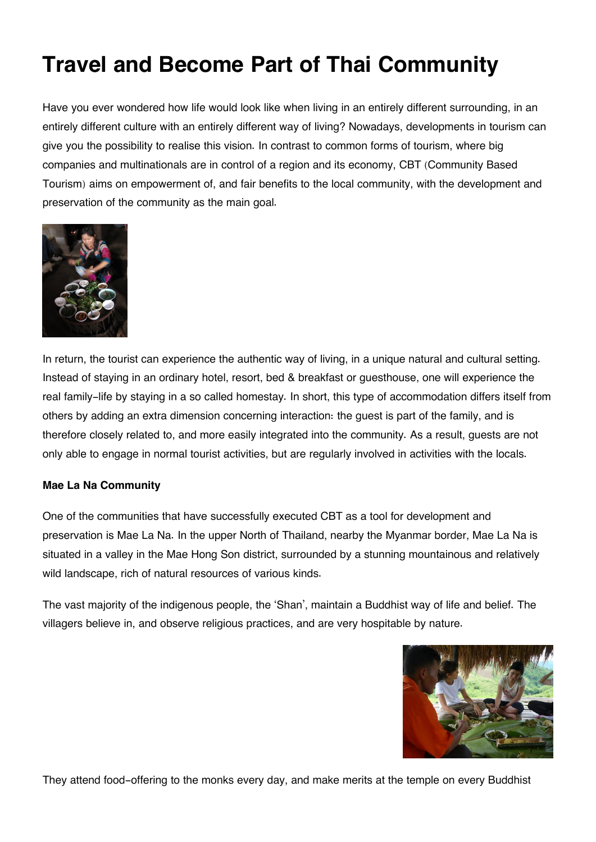# **Travel and Become Part of Thai Community**

Have you ever wondered how life would look like when living in an entirely different surrounding, in an entirely different culture with an entirely different way of living? Nowadays, developments in tourism can give you the possibility to realise this vision. In contrast to common forms of tourism, where big companies and multinationals are in control of a region and its economy, CBT (Community Based Tourism) aims on empowerment of, and fair benefits to the local community, with the development and preservation of the community as the main goal.



In return, the tourist can experience the authentic way of living, in a unique natural and cultural setting. Instead of staying in an ordinary hotel, resort, bed & breakfast or guesthouse, one will experience the real family-life by staying in a so called homestay. In short, this type of accommodation differs itself from others by adding an extra dimension concerning interaction: the guest is part of the family, and is therefore closely related to, and more easily integrated into the community. As a result, guests are not only able to engage in normal tourist activities, but are regularly involved in activities with the locals.

### **Mae La Na Community**

One of the communities that have successfully executed CBT as a tool for development and preservation is Mae La Na. In the upper North of Thailand, nearby the Myanmar border, Mae La Na is situated in a valley in the Mae Hong Son district, surrounded by a stunning mountainous and relatively wild landscape, rich of natural resources of various kinds.

The vast majority of the indigenous people, the 'Shan', maintain a Buddhist way of life and belief. The villagers believe in, and observe religious practices, and are very hospitable by nature.



They attend food-offering to the monks every day, and make merits at the temple on every Buddhist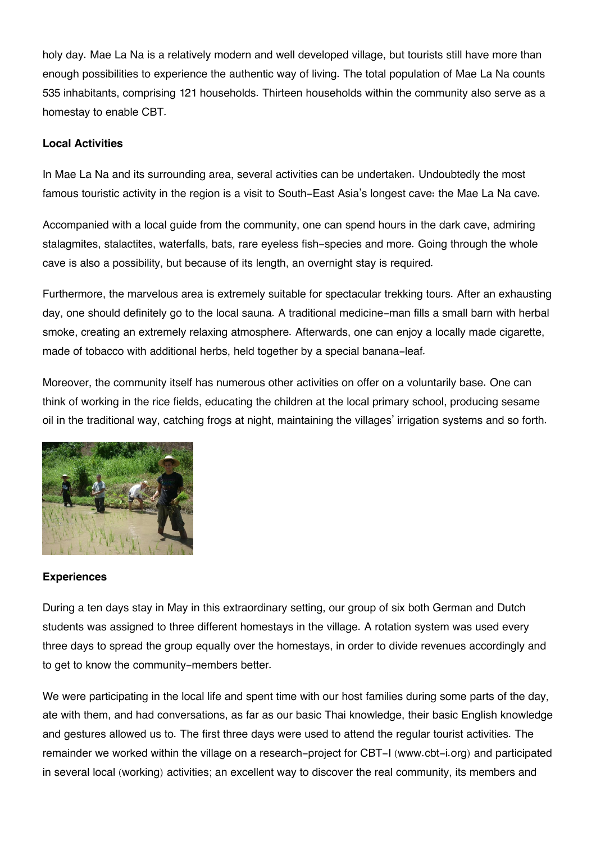holy day. Mae La Na is a relatively modern and well developed village, but tourists still have more than enough possibilities to experience the authentic way of living. The total population of Mae La Na counts 535 inhabitants, comprising 121 households. Thirteen households within the community also serve as a homestay to enable CBT.

## **Local Activities**

In Mae La Na and its surrounding area, several activities can be undertaken. Undoubtedly the most famous touristic activity in the region is a visit to South-East Asia's longest cave: the Mae La Na cave.

Accompanied with a local guide from the community, one can spend hours in the dark cave, admiring stalagmites, stalactites, waterfalls, bats, rare eyeless fish-species and more. Going through the whole cave is also a possibility, but because of its length, an overnight stay is required.

Furthermore, the marvelous area is extremely suitable for spectacular trekking tours. After an exhausting day, one should definitely go to the local sauna. A traditional medicine-man fills a small barn with herbal smoke, creating an extremely relaxing atmosphere. Afterwards, one can enjoy a locally made cigarette, made of tobacco with additional herbs, held together by a special banana-leaf.

Moreover, the community itself has numerous other activities on offer on a voluntarily base. One can think of working in the rice fields, educating the children at the local primary school, producing sesame oil in the traditional way, catching frogs at night, maintaining the villages' irrigation systems and so forth.



### **Experiences**

During a ten days stay in May in this extraordinary setting, our group of six both German and Dutch students was assigned to three different homestays in the village. A rotation system was used every three days to spread the group equally over the homestays, in order to divide revenues accordingly and to get to know the community-members better.

We were participating in the local life and spent time with our host families during some parts of the day, ate with them, and had conversations, as far as our basic Thai knowledge, their basic English knowledge and gestures allowed us to. The first three days were used to attend the regular tourist activities. The remainder we worked within the village on a research-project for CBT-I (www.cbt-i.org) and participated in several local (working) activities; an excellent way to discover the real community, its members and